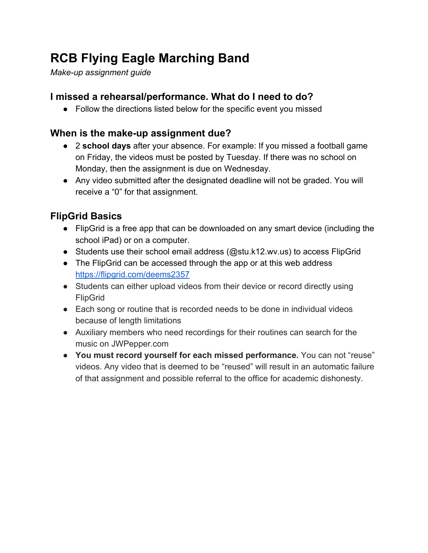# **RCB Flying Eagle Marching Band**

*Make-up assignment guide*

### **I missed a rehearsal/performance. What do I need to do?**

• Follow the directions listed below for the specific event you missed

### **When is the make-up assignment due?**

- 2 **school days** after your absence. For example: If you missed a football game on Friday, the videos must be posted by Tuesday. If there was no school on Monday, then the assignment is due on Wednesday.
- Any video submitted after the designated deadline will not be graded. You will receive a "0" for that assignment.

# **FlipGrid Basics**

- FlipGrid is a free app that can be downloaded on any smart device (including the school iPad) or on a computer.
- Students use their school email address (@stu.k12.wv.us) to access FlipGrid
- The FlipGrid can be accessed through the app or at this web address <https://flipgrid.com/deems2357>
- Students can either upload videos from their device or record directly using FlipGrid
- Each song or routine that is recorded needs to be done in individual videos because of length limitations
- Auxiliary members who need recordings for their routines can search for the music on JWPepper.com
- **● You must record yourself for each missed performance.** You can not "reuse" videos. Any video that is deemed to be "reused" will result in an automatic failure of that assignment and possible referral to the office for academic dishonesty.